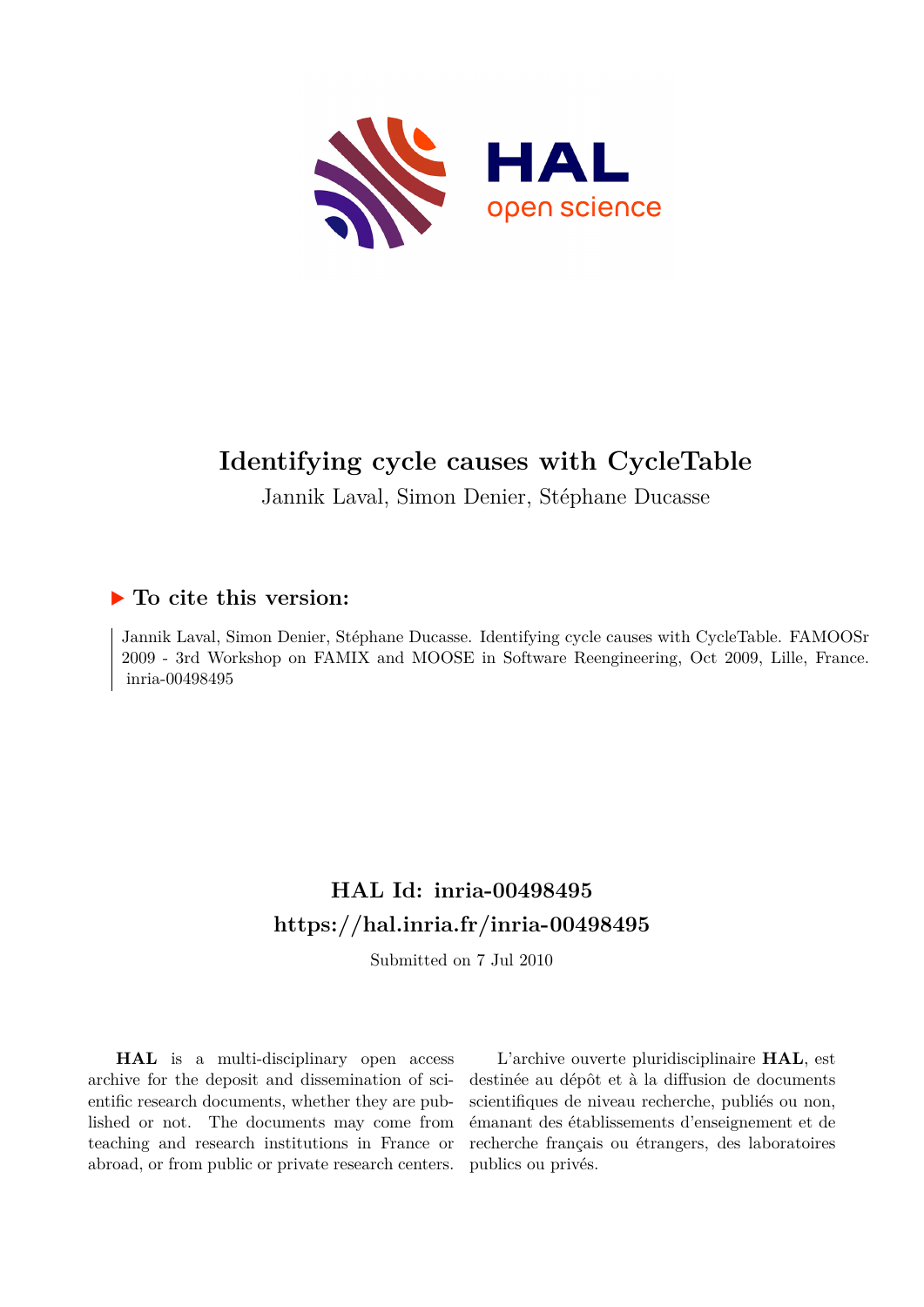

# **Identifying cycle causes with CycleTable**

Jannik Laval, Simon Denier, Stéphane Ducasse

# **To cite this version:**

Jannik Laval, Simon Denier, Stéphane Ducasse. Identifying cycle causes with CycleTable. FAMOOSr 2009 - 3rd Workshop on FAMIX and MOOSE in Software Reengineering, Oct 2009, Lille, France. inria-00498495

# **HAL Id: inria-00498495 <https://hal.inria.fr/inria-00498495>**

Submitted on 7 Jul 2010

**HAL** is a multi-disciplinary open access archive for the deposit and dissemination of scientific research documents, whether they are published or not. The documents may come from teaching and research institutions in France or abroad, or from public or private research centers.

L'archive ouverte pluridisciplinaire **HAL**, est destinée au dépôt et à la diffusion de documents scientifiques de niveau recherche, publiés ou non, émanant des établissements d'enseignement et de recherche français ou étrangers, des laboratoires publics ou privés.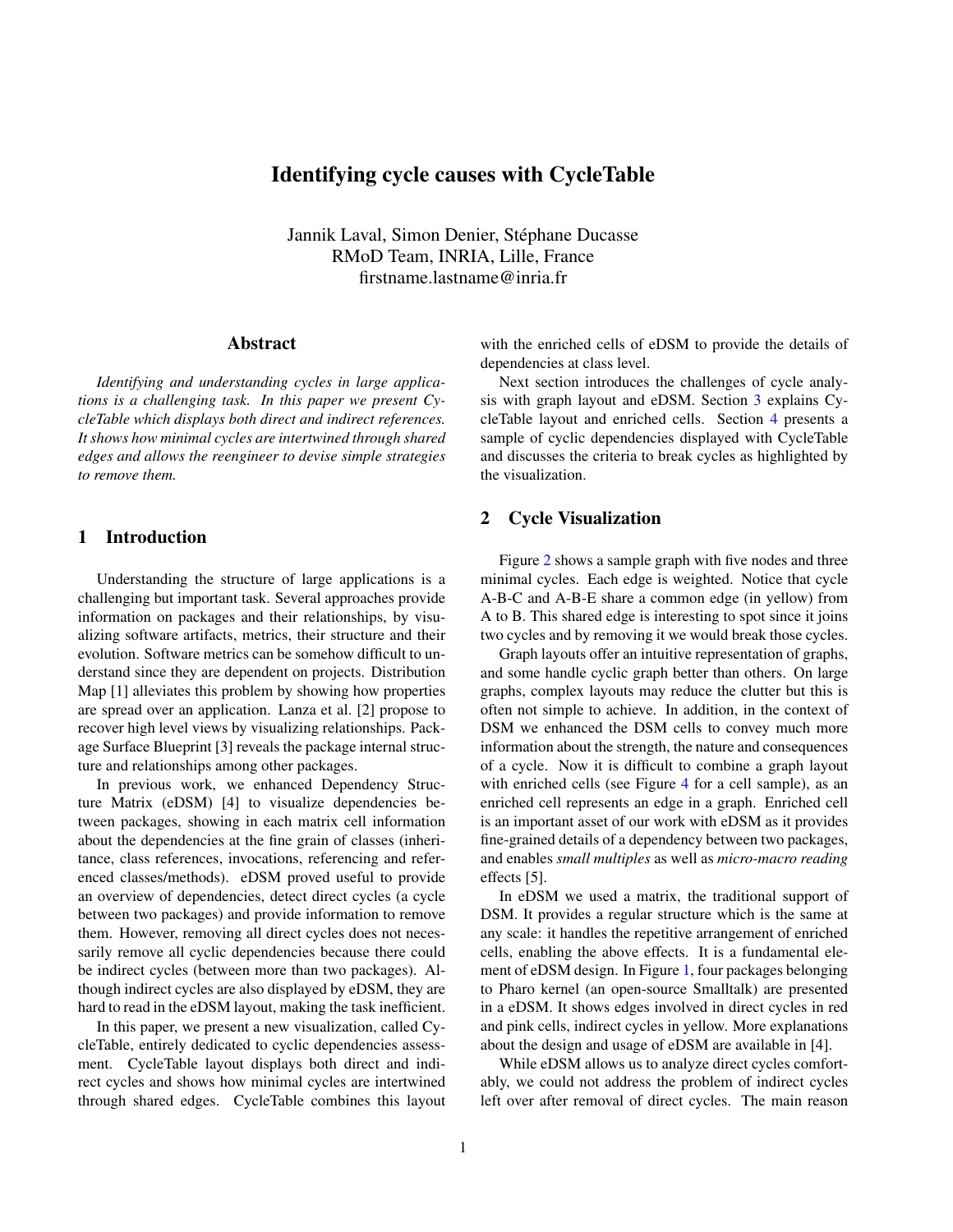# Identifying cycle causes with CycleTable

Jannik Laval, Simon Denier, Stéphane Ducasse RMoD Team, INRIA, Lille, France firstname.lastname@inria.fr

# Abstract

*Identifying and understanding cycles in large applications is a challenging task. In this paper we present CycleTable which displays both direct and indirect references. It shows how minimal cycles are intertwined through shared edges and allows the reengineer to devise simple strategies to remove them.*

## 1 Introduction

Understanding the structure of large applications is a challenging but important task. Several approaches provide information on packages and their relationships, by visualizing software artifacts, metrics, their structure and their evolution. Software metrics can be somehow difficult to understand since they are dependent on projects. Distribution Map [1] alleviates this problem by showing how properties are spread over an application. Lanza et al. [2] propose to recover high level views by visualizing relationships. Package Surface Blueprint [3] reveals the package internal structure and relationships among other packages.

In previous work, we enhanced Dependency Structure Matrix (eDSM) [4] to visualize dependencies between packages, showing in each matrix cell information about the dependencies at the fine grain of classes (inheritance, class references, invocations, referencing and referenced classes/methods). eDSM proved useful to provide an overview of dependencies, detect direct cycles (a cycle between two packages) and provide information to remove them. However, removing all direct cycles does not necessarily remove all cyclic dependencies because there could be indirect cycles (between more than two packages). Although indirect cycles are also displayed by eDSM, they are hard to read in the eDSM layout, making the task inefficient.

In this paper, we present a new visualization, called CycleTable, entirely dedicated to cyclic dependencies assessment. CycleTable layout displays both direct and indirect cycles and shows how minimal cycles are intertwined through shared edges. CycleTable combines this layout with the enriched cells of eDSM to provide the details of dependencies at class level.

Next section introduces the challenges of cycle analysis with graph layout and eDSM. Section [3](#page-2-0) explains CycleTable layout and enriched cells. Section [4](#page-3-0) presents a sample of cyclic dependencies displayed with CycleTable and discusses the criteria to break cycles as highlighted by the visualization.

## 2 Cycle Visualization

Figure [2](#page-3-1) shows a sample graph with five nodes and three minimal cycles. Each edge is weighted. Notice that cycle A-B-C and A-B-E share a common edge (in yellow) from A to B. This shared edge is interesting to spot since it joins two cycles and by removing it we would break those cycles.

Graph layouts offer an intuitive representation of graphs, and some handle cyclic graph better than others. On large graphs, complex layouts may reduce the clutter but this is often not simple to achieve. In addition, in the context of DSM we enhanced the DSM cells to convey much more information about the strength, the nature and consequences of a cycle. Now it is difficult to combine a graph layout with enriched cells (see Figure [4](#page-3-2) for a cell sample), as an enriched cell represents an edge in a graph. Enriched cell is an important asset of our work with eDSM as it provides fine-grained details of a dependency between two packages, and enables *small multiples* as well as *micro-macro reading* effects [5].

In eDSM we used a matrix, the traditional support of DSM. It provides a regular structure which is the same at any scale: it handles the repetitive arrangement of enriched cells, enabling the above effects. It is a fundamental element of eDSM design. In Figure [1,](#page-2-1) four packages belonging to Pharo kernel (an open-source Smalltalk) are presented in a eDSM. It shows edges involved in direct cycles in red and pink cells, indirect cycles in yellow. More explanations about the design and usage of eDSM are available in [4].

While eDSM allows us to analyze direct cycles comfortably, we could not address the problem of indirect cycles left over after removal of direct cycles. The main reason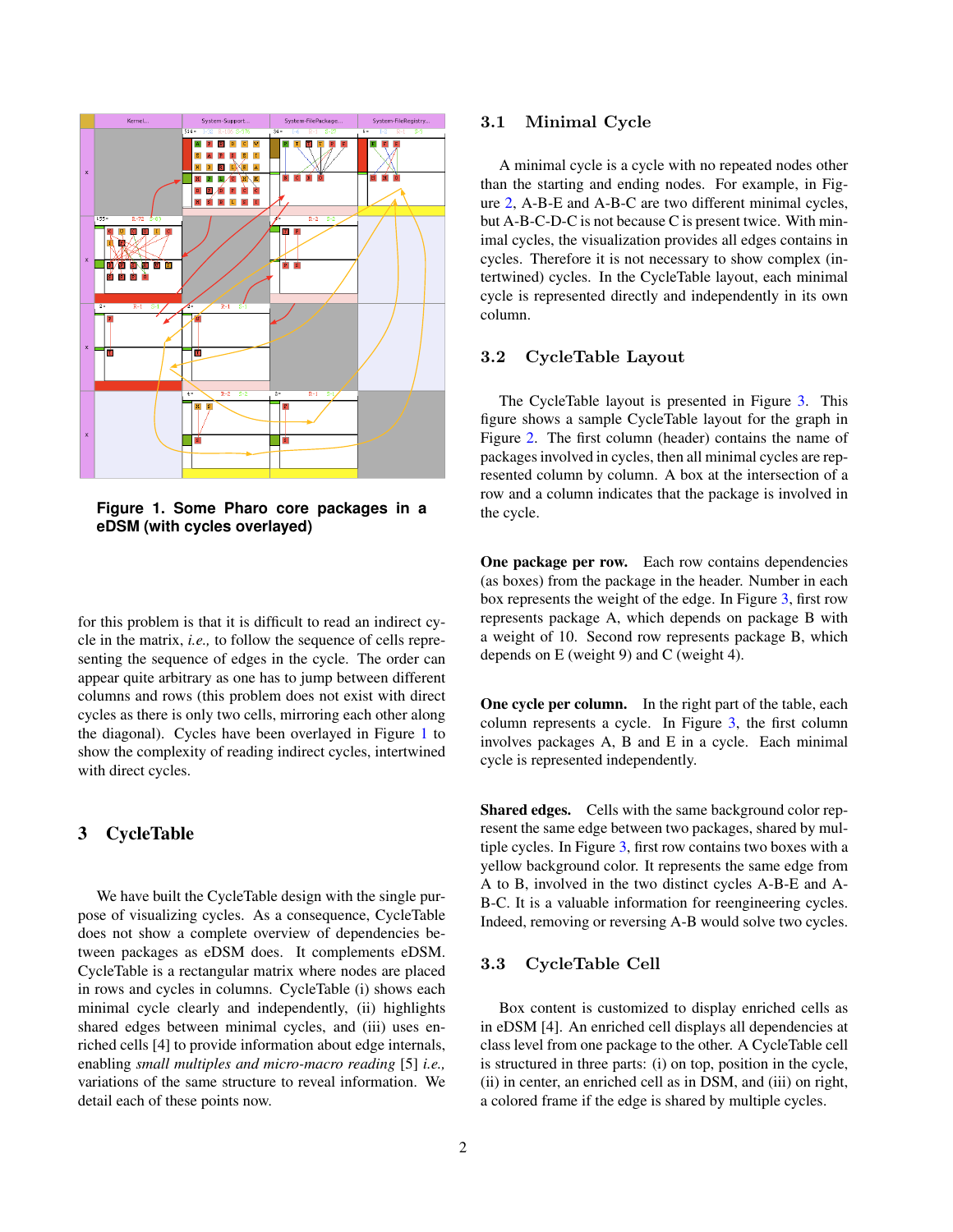

<span id="page-2-1"></span>**Figure 1. Some Pharo core packages in a eDSM (with cycles overlayed)**

for this problem is that it is difficult to read an indirect cycle in the matrix, *i.e.,* to follow the sequence of cells representing the sequence of edges in the cycle. The order can appear quite arbitrary as one has to jump between different columns and rows (this problem does not exist with direct cycles as there is only two cells, mirroring each other along the diagonal). Cycles have been overlayed in Figure [1](#page-2-1) to show the complexity of reading indirect cycles, intertwined with direct cycles.

# <span id="page-2-0"></span>3 CycleTable

We have built the CycleTable design with the single purpose of visualizing cycles. As a consequence, CycleTable does not show a complete overview of dependencies between packages as eDSM does. It complements eDSM. CycleTable is a rectangular matrix where nodes are placed in rows and cycles in columns. CycleTable (i) shows each minimal cycle clearly and independently, (ii) highlights shared edges between minimal cycles, and (iii) uses enriched cells [4] to provide information about edge internals, enabling *small multiples and micro-macro reading* [5] *i.e.,* variations of the same structure to reveal information. We detail each of these points now.

2

#### 3.1 Minimal Cycle

A minimal cycle is a cycle with no repeated nodes other than the starting and ending nodes. For example, in Figure [2,](#page-3-1) A-B-E and A-B-C are two different minimal cycles, but A-B-C-D-C is not because C is present twice. With minimal cycles, the visualization provides all edges contains in cycles. Therefore it is not necessary to show complex (intertwined) cycles. In the CycleTable layout, each minimal cycle is represented directly and independently in its own column.

#### 3.2 CycleTable Layout

The CycleTable layout is presented in Figure [3.](#page-3-3) This figure shows a sample CycleTable layout for the graph in Figure [2.](#page-3-1) The first column (header) contains the name of packages involved in cycles, then all minimal cycles are represented column by column. A box at the intersection of a row and a column indicates that the package is involved in the cycle.

One package per row. Each row contains dependencies (as boxes) from the package in the header. Number in each box represents the weight of the edge. In Figure [3,](#page-3-3) first row represents package A, which depends on package B with a weight of 10. Second row represents package B, which depends on E (weight 9) and C (weight 4).

One cycle per column. In the right part of the table, each column represents a cycle. In Figure [3,](#page-3-3) the first column involves packages A, B and E in a cycle. Each minimal cycle is represented independently.

Shared edges. Cells with the same background color represent the same edge between two packages, shared by multiple cycles. In Figure [3,](#page-3-3) first row contains two boxes with a yellow background color. It represents the same edge from A to B, involved in the two distinct cycles A-B-E and A-B-C. It is a valuable information for reengineering cycles. Indeed, removing or reversing A-B would solve two cycles.

#### 3.3 CycleTable Cell

Box content is customized to display enriched cells as in eDSM [4]. An enriched cell displays all dependencies at class level from one package to the other. A CycleTable cell is structured in three parts: (i) on top, position in the cycle, (ii) in center, an enriched cell as in DSM, and (iii) on right, a colored frame if the edge is shared by multiple cycles.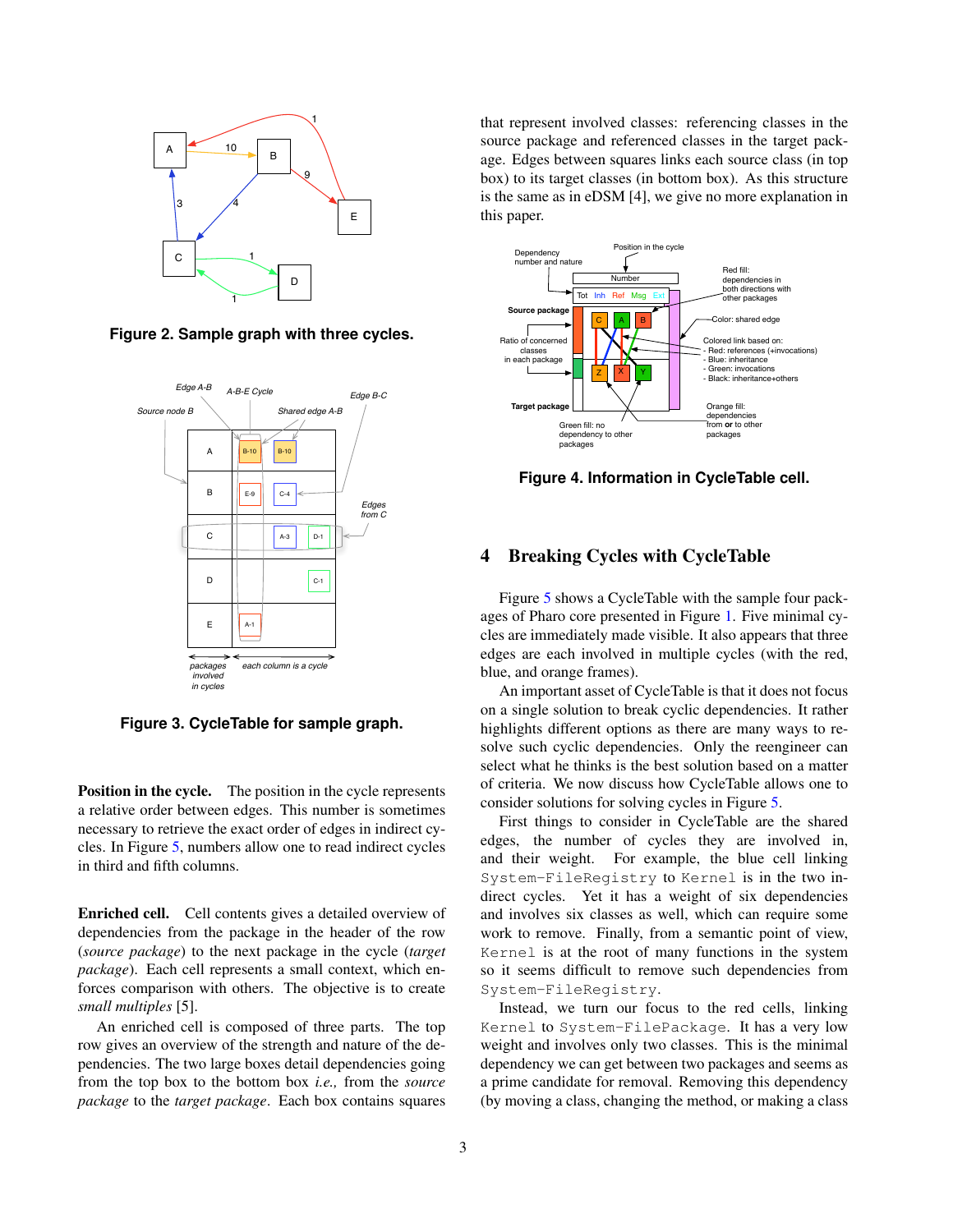

<span id="page-3-1"></span>**Figure 2. Sample graph with three cycles.**



<span id="page-3-3"></span>**Figure 3. CycleTable for sample graph.**

Position in the cycle. The position in the cycle represents a relative order between edges. This number is sometimes necessary to retrieve the exact order of edges in indirect cycles. In Figure [5,](#page-4-0) numbers allow one to read indirect cycles in third and fifth columns.

Enriched cell. Cell contents gives a detailed overview of dependencies from the package in the header of the row (*source package*) to the next package in the cycle (*target package*). Each cell represents a small context, which enforces comparison with others. The objective is to create *small multiples* [5].

An enriched cell is composed of three parts. The top row gives an overview of the strength and nature of the dependencies. The two large boxes detail dependencies going from the top box to the bottom box *i.e.,* from the *source package* to the *target package*. Each box contains squares that represent involved classes: referencing classes in the source package and referenced classes in the target package. Edges between squares links each source class (in top box) to its target classes (in bottom box). As this structure is the same as in eDSM [4], we give no more explanation in this paper.



<span id="page-3-2"></span>**Figure 4. Information in CycleTable cell.**

#### <span id="page-3-0"></span>4 Breaking Cycles with CycleTable

Figure [5](#page-4-0) shows a CycleTable with the sample four packages of Pharo core presented in Figure [1.](#page-2-1) Five minimal cycles are immediately made visible. It also appears that three edges are each involved in multiple cycles (with the red, blue, and orange frames).

An important asset of CycleTable is that it does not focus on a single solution to break cyclic dependencies. It rather highlights different options as there are many ways to resolve such cyclic dependencies. Only the reengineer can select what he thinks is the best solution based on a matter of criteria. We now discuss how CycleTable allows one to consider solutions for solving cycles in Figure [5.](#page-4-0)

First things to consider in CycleTable are the shared edges, the number of cycles they are involved in, and their weight. For example, the blue cell linking System-FileRegistry to Kernel is in the two indirect cycles. Yet it has a weight of six dependencies and involves six classes as well, which can require some work to remove. Finally, from a semantic point of view, Kernel is at the root of many functions in the system so it seems difficult to remove such dependencies from System-FileRegistry.

Instead, we turn our focus to the red cells, linking Kernel to System-FilePackage. It has a very low weight and involves only two classes. This is the minimal dependency we can get between two packages and seems as a prime candidate for removal. Removing this dependency (by moving a class, changing the method, or making a class